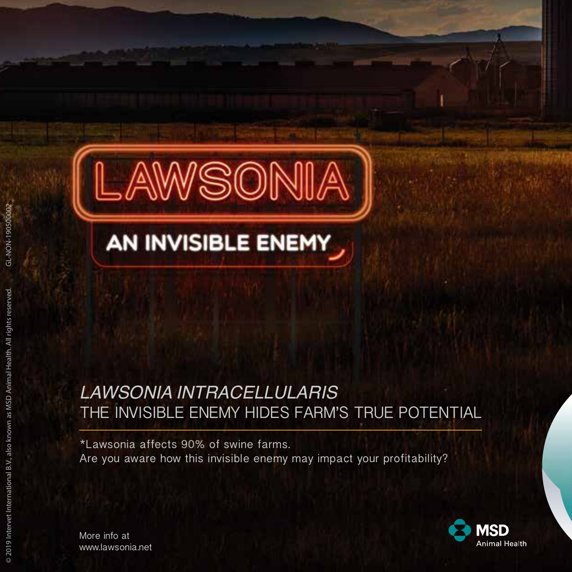## LAWSONIA

### AN INVISIBLE ENEMY

#### *LAWSONIA INTRACELLULARIS* THE INVISIBLE ENEMY HIDES FARM'S TRUE POTENTIAL

\*Lawsonia affects 90% of swine farms. Are you aware how this invisible enemy may impact your profitability?



More info at www.lawsonia.net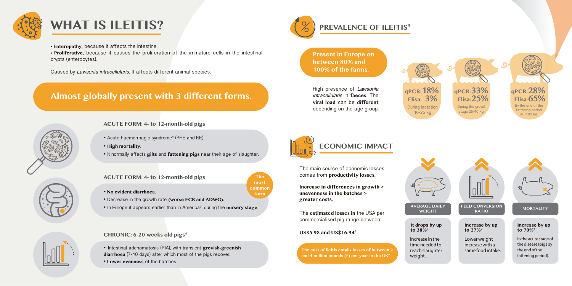

## **WHAT IS ILEITIS?**

**• Enteropathy,** because it affects the intestine.

**• Proliferative,** because it causes the proliferation of the immature cells in the intestinal crypts (enterocytes).

Caused by *Lawsonia intracellularis*. It affects different animal species.

### **Almost globally present with 3 different forms.**



#### **ACUTE FORM: 4- to 12-month-old pigs**

- Acute haemorrhagic syndrome<sup>1</sup> (PHE and NE).
- **High mortality.**
- It normally affects **gilts** and **fattening pigs** near their age of slaughter.





**ACUTE FORM: 4- to 12-month-old pigs**

- • **No evident diarrhoea.**
- Decrease in the growth rate **(worse FCR and ADWG).**
- In Europe it appears earlier than in America<sup>3</sup>, during the **nursery stage.**

**CHRONIC: 6-20 weeks old pigs4**

• Intestinal adenomatosis (PIA), with transient **greyish-greenish diarrhoea** (7-10 days) after which most of the pigs recover.

• **Lower evenness** of the batches.



#### **PREVALENCE OF ILEITIS<sup>5</sup>**

**Present in Europe on between 80% and 100% of the farms.**

High presence of *Lawsonia intracellularis* in **faeces**. The **viral load** can be **different** depending on the age group. **qPCR:18% Elisa: 3%** During lactation 10-25 kg stage 25-40 kg

**qPCR:33% Elisa:25% qPCR:28% Elisa:65%** During the growth By the end of the

fattening period 40-100 kg



**The most common form**

The main source of economic losses comes from **productivity losses.**

**Increase in differences in growth > unevenness in the batches > greater costs.**

The **estimated losses in** the USA per commercialised pig range between:

#### **US\$5.98 and US\$16.946 .**

**The cost of ileitis entails losses of between 2**  and 4 million pounds  $(f)$  per year in the UK<sup>9</sup>

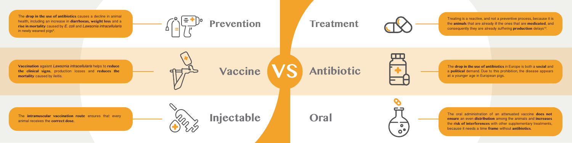**Vaccine**

# **Antibiotic**



**Injectable Oral**



Vaccination agaisnt *Lawsonia intracellularis* helps to reduce<br>the clinical signs, production losses and reduces the<br>mortality caused by ileitis. **the clinical signs**, production losses and **reduces the mortality** caused by ileitis.

The **drop in the use of antibiotics** causes a decline in animal health, including an increase in **diarrhoeas, weight loss** and a **rise in mortality** caused by *E. coli* and *Lawsonia intracellularis*  in newly weaned pigs<sup>9</sup>. .



**Prevention Treatment** 

Treating is a reactive, and not a preventive process, because it is the **animals** that are already ill the ones that are **medicated**, and consequently they are already suffering **production** delays<sup>10</sup>.

The **intramuscular vaccination route** ensures that every animal receives the **correct dose.**





The **drop in the use of antibiotics** in Europe is both a **social** and a **political** demand. Due to this prohibition, the disease appears at a younger age in European pigs.

The oral administration of an attenuated vaccine **does not ensure** an even **distribution** among the animals and **increases** the **risk of interferences** with other supplementary treatments, because it needs a time **frame** without **antibiotics**.